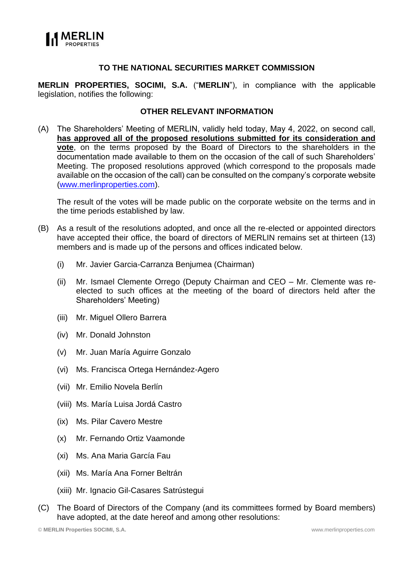

## **TO THE NATIONAL SECURITIES MARKET COMMISSION**

**MERLIN PROPERTIES, SOCIMI, S.A.** ("**MERLIN**"), in compliance with the applicable legislation, notifies the following:

### **OTHER RELEVANT INFORMATION**

(A) The Shareholders' Meeting of MERLIN, validly held today, May 4, 2022, on second call, **has approved all of the proposed resolutions submitted for its consideration and vote**, on the terms proposed by the Board of Directors to the shareholders in the documentation made available to them on the occasion of the call of such Shareholders' Meeting. The proposed resolutions approved (which correspond to the proposals made available on the occasion of the call) can be consulted on the company's corporate website [\(www.merlinproperties.com\)](http://www.merlinproperties.com/).

The result of the votes will be made public on the corporate website on the terms and in the time periods established by law.

- (B) As a result of the resolutions adopted, and once all the re-elected or appointed directors have accepted their office, the board of directors of MERLIN remains set at thirteen (13) members and is made up of the persons and offices indicated below.
	- (i) Mr. Javier Garcia-Carranza Benjumea (Chairman)
	- (ii) Mr. Ismael Clemente Orrego (Deputy Chairman and CEO Mr. Clemente was reelected to such offices at the meeting of the board of directors held after the Shareholders' Meeting)
	- (iii) Mr. Miguel Ollero Barrera
	- (iv) Mr. Donald Johnston
	- (v) Mr. Juan María Aguirre Gonzalo
	- (vi) Ms. Francisca Ortega Hernández-Agero
	- (vii) Mr. Emilio Novela Berlín
	- (viii) Ms. María Luisa Jordá Castro
	- (ix) Ms. Pilar Cavero Mestre
	- (x) Mr. Fernando Ortiz Vaamonde
	- (xi) Ms. Ana Maria García Fau
	- (xii) Ms. María Ana Forner Beltrán
	- (xiii) Mr. Ignacio Gil-Casares Satrústegui
- (C) The Board of Directors of the Company (and its committees formed by Board members) have adopted, at the date hereof and among other resolutions: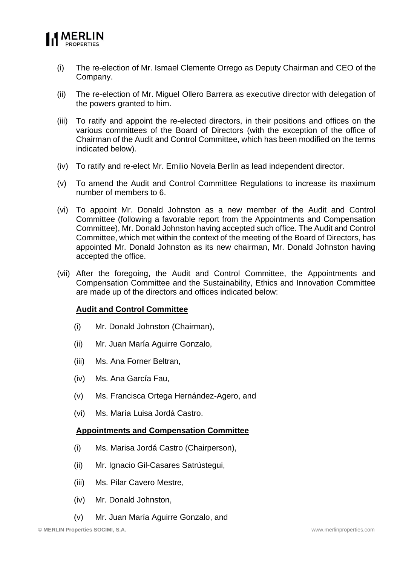

- (i) The re-election of Mr. Ismael Clemente Orrego as Deputy Chairman and CEO of the Company.
- (ii) The re-election of Mr. Miguel Ollero Barrera as executive director with delegation of the powers granted to him.
- (iii) To ratify and appoint the re-elected directors, in their positions and offices on the various committees of the Board of Directors (with the exception of the office of Chairman of the Audit and Control Committee, which has been modified on the terms indicated below).
- (iv) To ratify and re-elect Mr. Emilio Novela Berlín as lead independent director.
- (v) To amend the Audit and Control Committee Regulations to increase its maximum number of members to 6.
- (vi) To appoint Mr. Donald Johnston as a new member of the Audit and Control Committee (following a favorable report from the Appointments and Compensation Committee), Mr. Donald Johnston having accepted such office. The Audit and Control Committee, which met within the context of the meeting of the Board of Directors, has appointed Mr. Donald Johnston as its new chairman, Mr. Donald Johnston having accepted the office.
- (vii) After the foregoing, the Audit and Control Committee, the Appointments and Compensation Committee and the Sustainability, Ethics and Innovation Committee are made up of the directors and offices indicated below:

#### **Audit and Control Committee**

- (i) Mr. Donald Johnston (Chairman),
- (ii) Mr. Juan María Aguirre Gonzalo,
- (iii) Ms. Ana Forner Beltran,
- (iv) Ms. Ana García Fau,
- (v) Ms. Francisca Ortega Hernández-Agero, and
- (vi) Ms. María Luisa Jordá Castro.

#### **Appointments and Compensation Committee**

- (i) Ms. Marisa Jordá Castro (Chairperson),
- (ii) Mr. Ignacio Gil-Casares Satrústegui,
- (iii) Ms. Pilar Cavero Mestre,
- (iv) Mr. Donald Johnston,
- (v) Mr. Juan María Aguirre Gonzalo, and